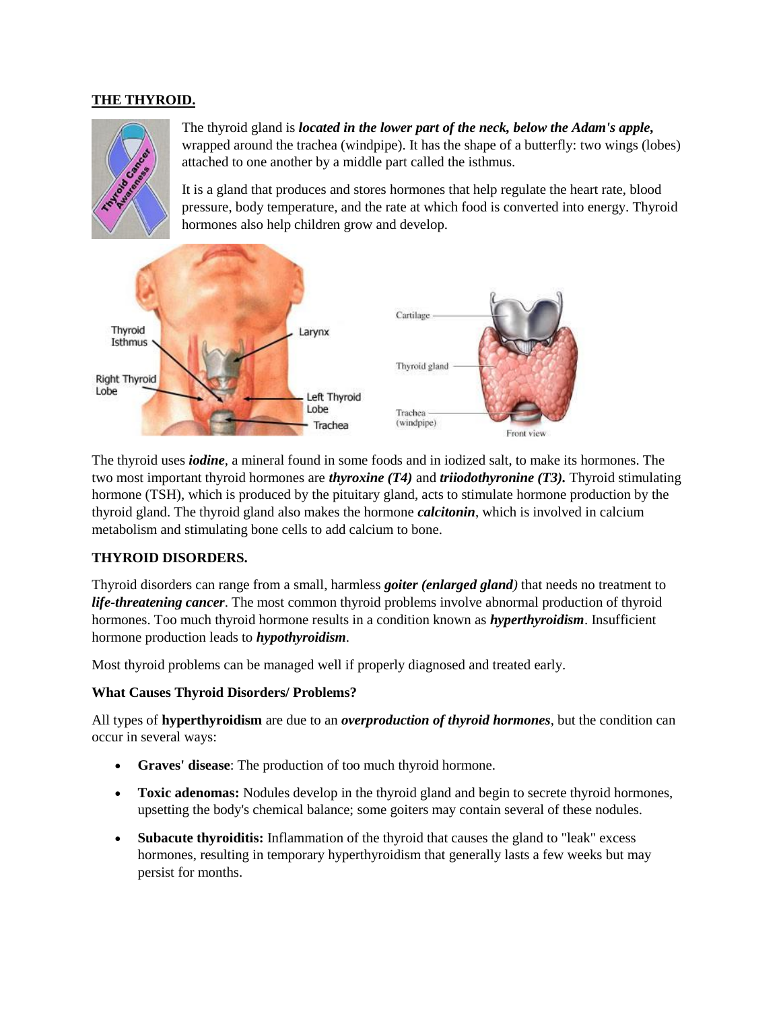#### **THE THYROID.**



The thyroid gland is *located in the lower part of the neck, below the Adam's apple,* wrapped around the trachea (windpipe). It has the shape of a butterfly: two wings (lobes) attached to one another by a middle part called the isthmus.

It is a gland that produces and stores hormones that help regulate the heart rate, blood pressure, body temperature, and the rate at which food is converted into energy. Thyroid hormones also help children grow and develop.



The thyroid uses *iodine*, a mineral found in some foods and in iodized salt, to make its hormones. The two most important thyroid hormones are *thyroxine (T4)* and *triiodothyronine (T3).* Thyroid stimulating hormone (TSH), which is produced by the pituitary gland, acts to stimulate hormone production by the thyroid gland. The thyroid gland also makes the hormone *calcitonin*, which is involved in calcium metabolism and stimulating bone cells to add calcium to bone.

# **THYROID DISORDERS.**

Thyroid disorders can range from a small, harmless *goiter (enlarged gland)* that needs no treatment to *life-threatening cancer*. The most common thyroid problems involve abnormal production of thyroid hormones. Too much thyroid hormone results in a condition known as *hyperthyroidism*. Insufficient hormone production leads to *hypothyroidism*.

Most thyroid problems can be managed well if properly diagnosed and treated early.

#### **What Causes Thyroid Disorders/ Problems?**

All types of **hyperthyroidism** are due to an *overproduction of thyroid hormones*, but the condition can occur in several ways:

- **Graves' disease**: The production of too much thyroid hormone.
- **Toxic adenomas:** Nodules develop in the thyroid gland and begin to secrete thyroid hormones, upsetting the body's chemical balance; some goiters may contain several of these nodules.
- **Subacute thyroiditis:** Inflammation of the thyroid that causes the gland to "leak" excess hormones, resulting in temporary hyperthyroidism that generally lasts a few weeks but may persist for months.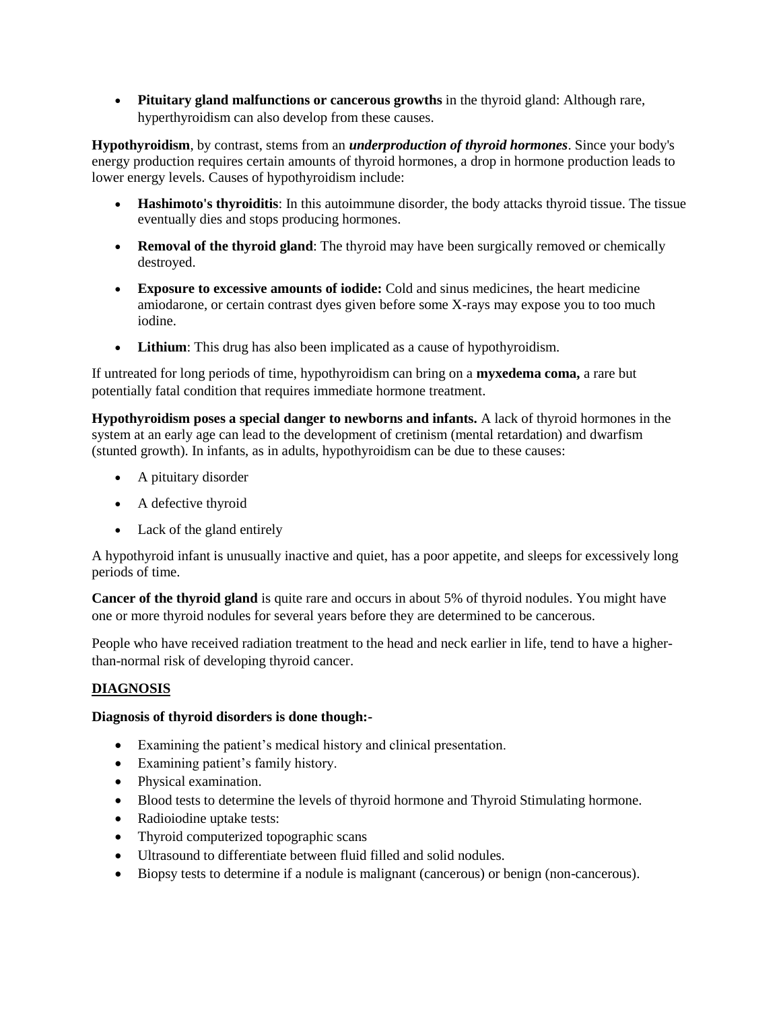**Pituitary gland malfunctions or cancerous growths** in the thyroid gland: Although rare, hyperthyroidism can also develop from these causes.

**Hypothyroidism**, by contrast, stems from an *underproduction of thyroid hormones*. Since your body's energy production requires certain amounts of thyroid hormones, a drop in hormone production leads to lower energy levels. Causes of hypothyroidism include:

- **Hashimoto's thyroiditis**: In this autoimmune disorder, the body attacks thyroid tissue. The tissue eventually dies and stops producing hormones.
- **Removal of the thyroid gland**: The thyroid may have been surgically removed or chemically destroyed.
- **Exposure to excessive amounts of iodide:** Cold and sinus medicines, the heart medicine amiodarone, or certain contrast dyes given before some X-rays may expose you to too much iodine.
- **Lithium**: This drug has also been implicated as a cause of hypothyroidism.

If untreated for long periods of time, hypothyroidism can bring on a **myxedema coma,** a rare but potentially fatal condition that requires immediate hormone treatment.

**Hypothyroidism poses a special danger to newborns and infants.** A lack of thyroid hormones in the system at an early age can lead to the development of cretinism (mental retardation) and dwarfism (stunted growth). In infants, as in adults, hypothyroidism can be due to these causes:

- A pituitary disorder
- A defective thyroid
- Lack of the gland entirely

A hypothyroid infant is unusually inactive and quiet, has a poor appetite, and sleeps for excessively long periods of time.

**Cancer of the thyroid gland** is quite rare and occurs in about 5% of thyroid nodules. You might have one or more thyroid nodules for several years before they are determined to be cancerous.

People who have received radiation treatment to the head and neck earlier in life, tend to have a higherthan-normal risk of developing thyroid cancer.

# **DIAGNOSIS**

# **Diagnosis of thyroid disorders is done though:-**

- Examining the patient's medical history and clinical presentation.
- Examining patient's family history.
- Physical examination.
- Blood tests to determine the levels of thyroid hormone and Thyroid Stimulating hormone.
- Radioiodine uptake tests:
- Thyroid computerized topographic scans
- Ultrasound to differentiate between fluid filled and solid nodules.
- Biopsy tests to determine if a nodule is malignant (cancerous) or benign (non-cancerous).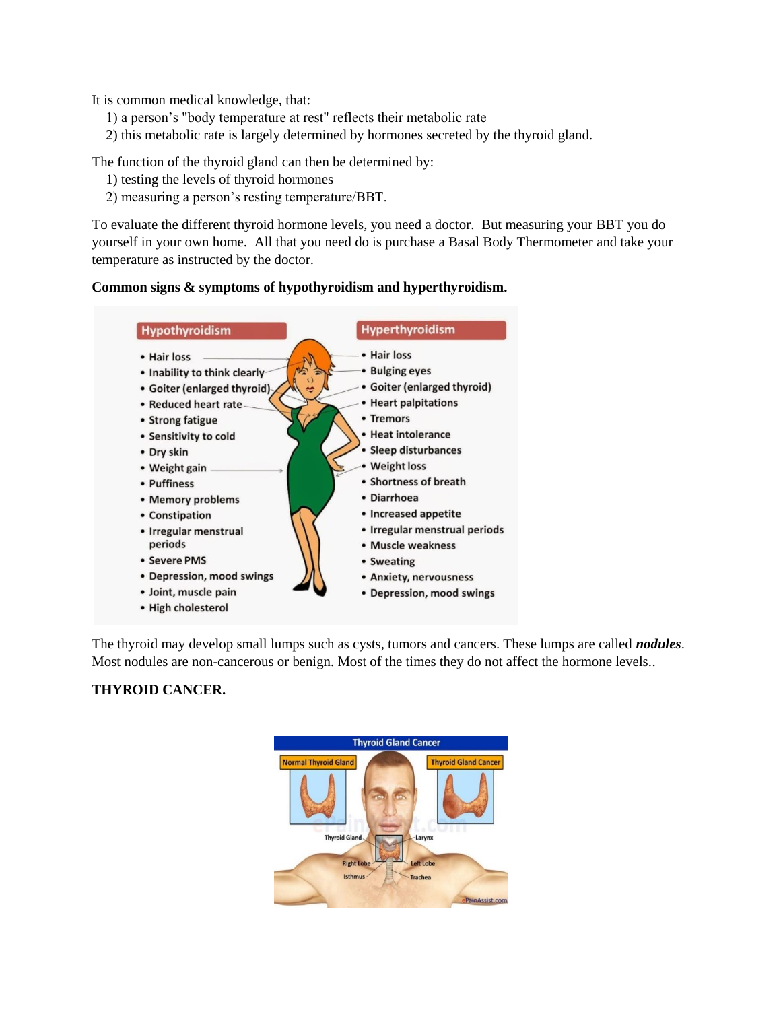It is common medical knowledge, that:

- 1) a person's "body temperature at rest" reflects their metabolic rate
- 2) this metabolic rate is largely determined by hormones secreted by the thyroid gland.

The function of the thyroid gland can then be determined by:

- 1) testing the levels of thyroid hormones
- 2) measuring a person's resting temperature/BBT.

To evaluate the different thyroid hormone levels, you need a doctor. But measuring your BBT you do yourself in your own home. All that you need do is purchase a Basal Body Thermometer and take your temperature as instructed by the doctor.

#### **Common signs & symptoms of hypothyroidism and hyperthyroidism.**



The thyroid may develop small lumps such as cysts, tumors and cancers. These lumps are called *nodules*. Most nodules are non-cancerous or benign. Most of the times they do not affect the hormone levels..

#### **THYROID CANCER.**

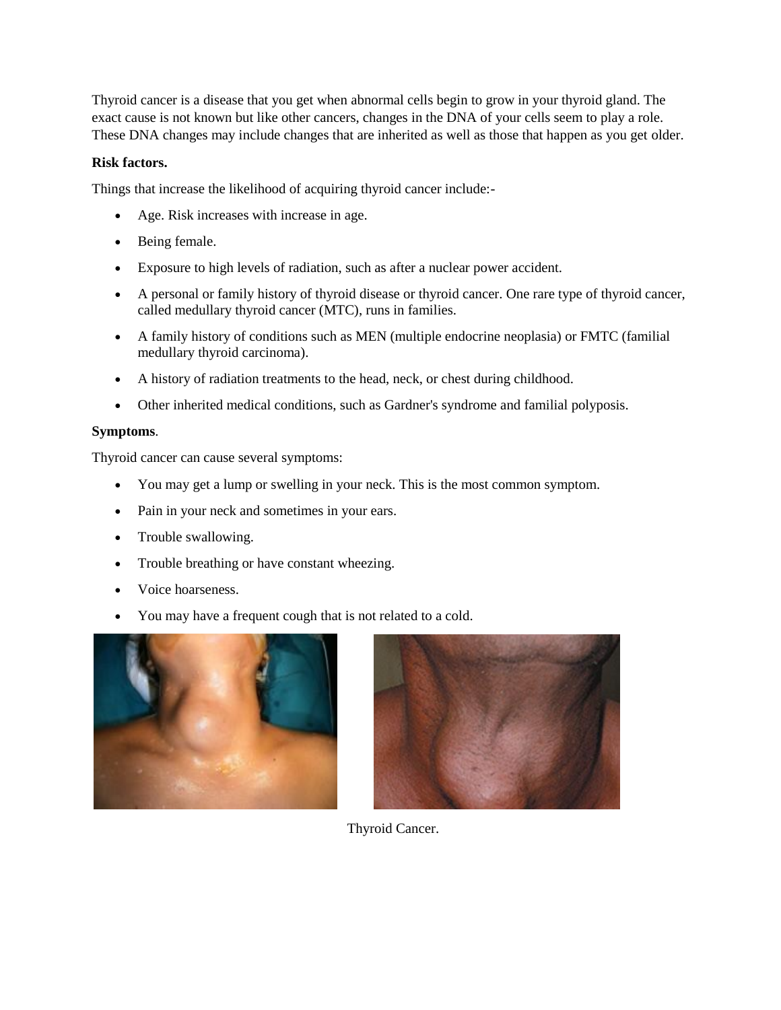Thyroid cancer is a disease that you get when abnormal cells begin to grow in your thyroid gland. The exact cause is not known but like other cancers, changes in the DNA of your cells seem to play a role. These DNA changes may include changes that are inherited as well as those that happen as you get older.

### **Risk factors.**

Things that increase the likelihood of acquiring thyroid cancer include:-

- Age. Risk increases with increase in age.
- Being female.
- Exposure to high levels of radiation, such as after a nuclear power accident.
- A personal or family history of thyroid disease or thyroid cancer. One rare type of thyroid cancer, called medullary thyroid cancer (MTC), runs in families.
- A family history of conditions such as MEN (multiple endocrine neoplasia) or FMTC (familial medullary thyroid carcinoma).
- A history of radiation treatments to the head, neck, or chest during childhood.
- Other inherited medical conditions, such as Gardner's syndrome and familial polyposis.

### **Symptoms**.

Thyroid cancer can cause several symptoms:

- You may get a lump or swelling in your neck. This is the most common symptom.
- Pain in your neck and sometimes in your ears.
- Trouble swallowing.
- Trouble breathing or have constant wheezing.
- Voice hoarseness.
- You may have a frequent cough that is not related to a cold.





Thyroid Cancer.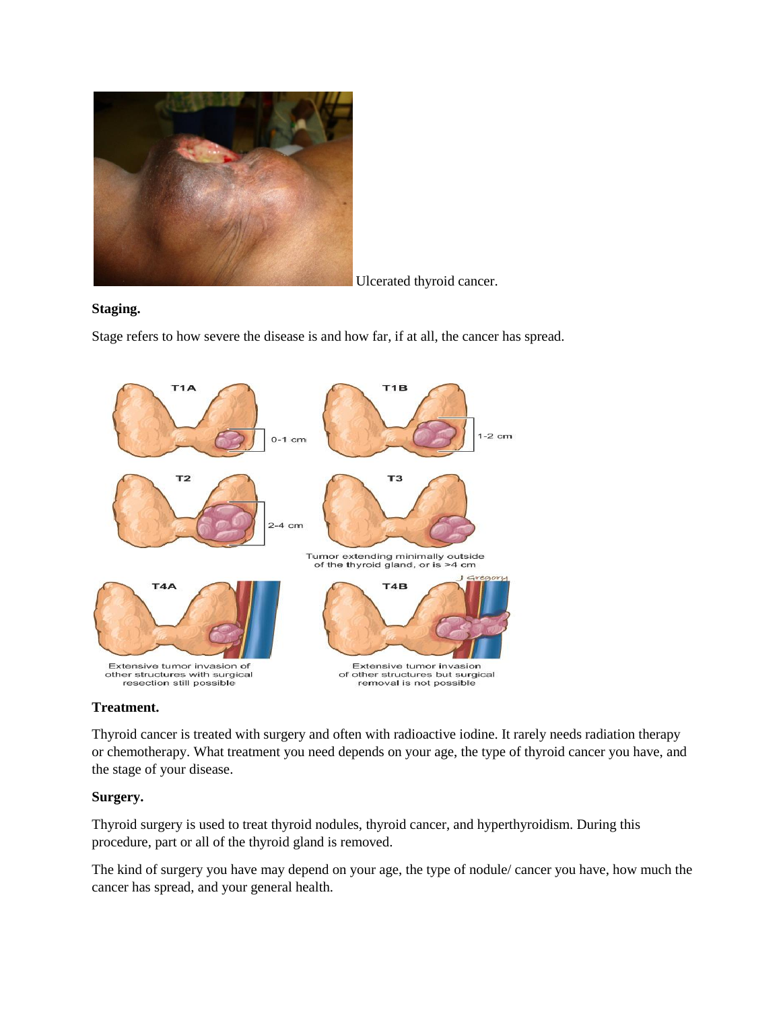

Ulcerated thyroid cancer.

#### **Staging.**

Stage refers to how severe the disease is and how far, if at all, the cancer has spread.



#### **Treatment.**

Thyroid cancer is treated with surgery and often with radioactive iodine. It rarely needs radiation therapy or chemotherapy. What treatment you need depends on your age, the type of thyroid cancer you have, and the stage of your disease.

#### **Surgery.**

Thyroid surgery is used to treat thyroid nodules, thyroid cancer, and hyperthyroidism. During this procedure, part or all of the thyroid gland is removed.

The kind of surgery you have may depend on your age, the type of nodule/ cancer you have, how much the cancer has spread, and your general health.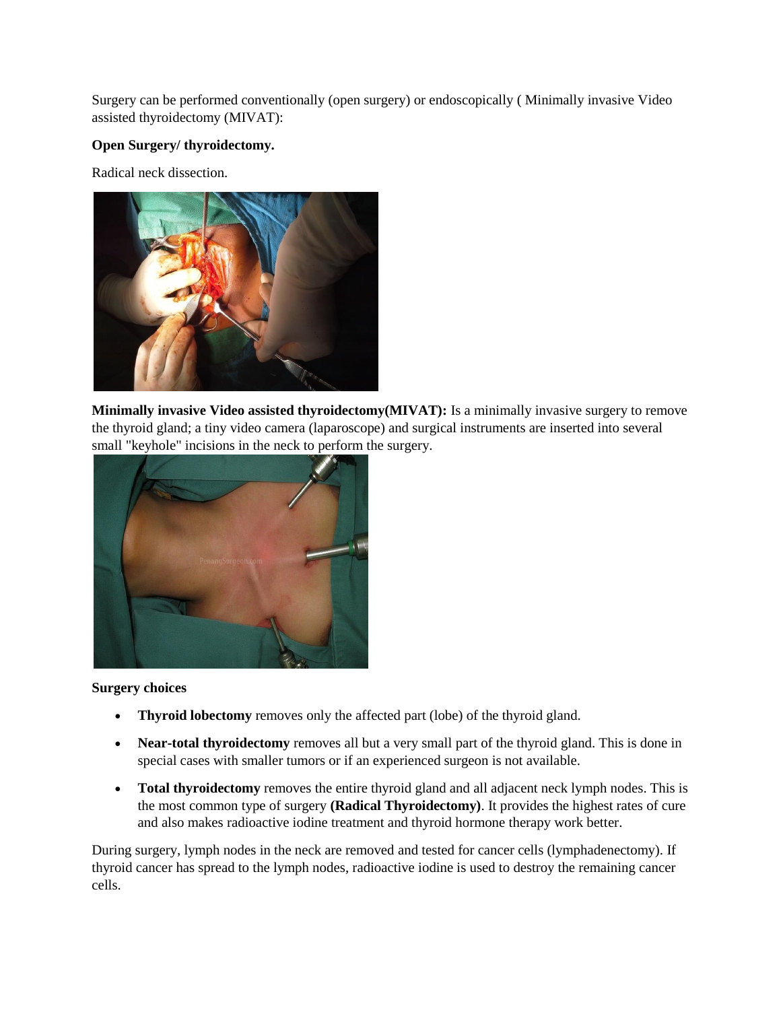Surgery can be performed conventionally (open surgery) or endoscopically ( Minimally invasive Video assisted thyroidectomy (MIVAT):

## **Open Surgery/ thyroidectomy.**

Radical neck dissection.



**Minimally invasive Video assisted thyroidectomy(MIVAT):** Is a minimally invasive surgery to remove the thyroid gland; a tiny video camera (laparoscope) and surgical instruments are inserted into several small "keyhole" incisions in the neck to perform the surgery.



#### **Surgery choices**

- **Thyroid lobectomy** removes only the affected part (lobe) of the thyroid gland.
- **Near-total thyroidectomy** removes all but a very small part of the thyroid gland. This is done in special cases with smaller tumors or if an experienced surgeon is not available.
- **Total thyroidectomy** removes the entire thyroid gland and all adjacent neck lymph nodes. This is the most common type of surgery **(Radical Thyroidectomy)**. It provides the highest rates of cure and also makes radioactive iodine treatment and thyroid hormone therapy work better.

During surgery, lymph nodes in the neck are removed and tested for cancer cells (lymphadenectomy). If thyroid cancer has spread to the lymph nodes, radioactive iodine is used to destroy the remaining cancer cells.